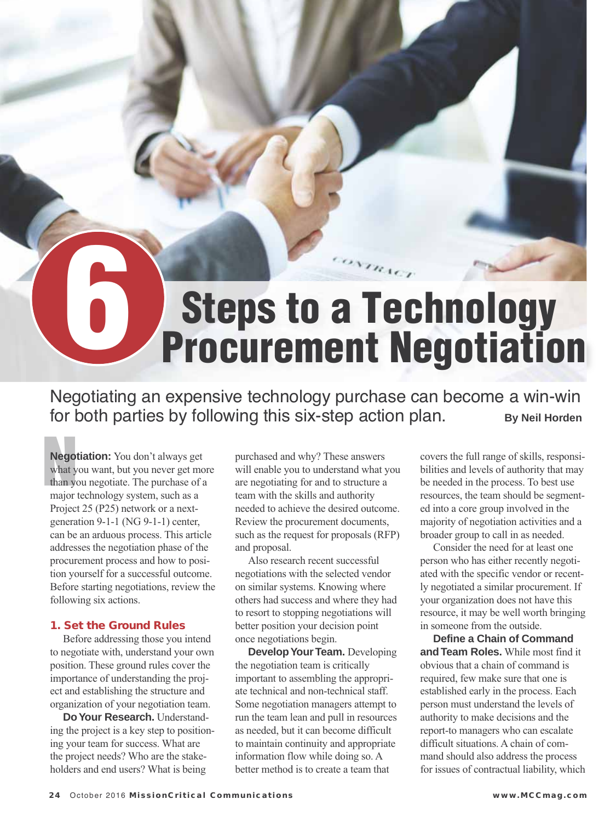# **6 Steps to a Technology Procurement Negotiation**

Negotiating an expensive technology purchase can become a win-win for both parties by following this six-step action plan. **By Neil Horden** 

**Negotian**<br> **Negotian**<br> **What y Negotiation:** You don't always get what you want, but you never get more than you negotiate. The purchase of a major technology system, such as a Project 25 (P25) network or a nextgeneration 9-1-1 (NG 9-1-1) center, can be an arduous process. This article addresses the negotiation phase of the procurement process and how to position yourself for a successful outcome. Before starting negotiations, review the following six actions.

#### **1. Set the Ground Rules**

 Before addressing those you intend to negotiate with, understand your own position. These ground rules cover the importance of understanding the project and establishing the structure and organization of your negotiation team.

 **Do Your Research.** Understanding the project is a key step to positioning your team for success. What are the project needs? Who are the stakeholders and end users? What is being

purchased and why? These answers will enable you to understand what you are negotiating for and to structure a team with the skills and authority needed to achieve the desired outcome. Review the procurement documents, such as the request for proposals (RFP) and proposal.

 Also research recent successful negotiations with the selected vendor on similar systems. Knowing where others had success and where they had to resort to stopping negotiations will better position your decision point once negotiations begin.

 **Develop Your Team.** Developing the negotiation team is critically important to assembling the appropriate technical and non-technical staff. Some negotiation managers attempt to run the team lean and pull in resources as needed, but it can become difficult to maintain continuity and appropriate information flow while doing so. A better method is to create a team that

covers the full range of skills, responsibilities and levels of authority that may be needed in the process. To best use resources, the team should be segmented into a core group involved in the majority of negotiation activities and a broader group to call in as needed.

 Consider the need for at least one person who has either recently negotiated with the specific vendor or recently negotiated a similar procurement. If your organization does not have this resource, it may be well worth bringing in someone from the outside.

 **Define a Chain of Command and Team Roles.** While most find it obvious that a chain of command is required, few make sure that one is established early in the process. Each person must understand the levels of authority to make decisions and the report-to managers who can escalate difficult situations. A chain of command should also address the process for issues of contractual liability, which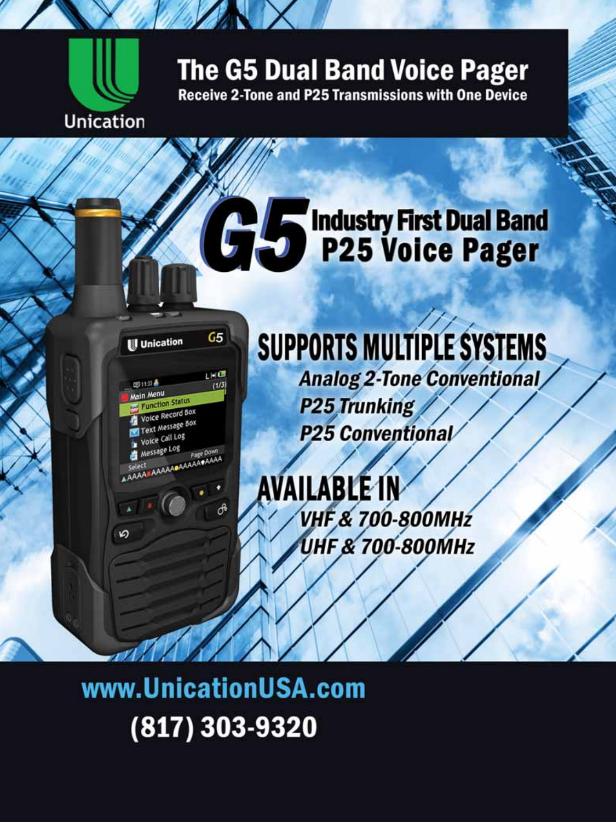

## **The G5 Dual Band Voice Pager**

**Receive 2-Tone and P25 Transmissions with One Device** 

# **Colorado Encyclopedia Stand Pager**



## **SUPPORTS MULTIPLE SYSTEMS Analog 2-Tone Conventional**

**P25 Trunking P25 Conventional** 

**AVAILABLE IN VHF & 700-800MHz UHF & 700-800MHz** 

www.UnicationUSA.com (817) 303-9320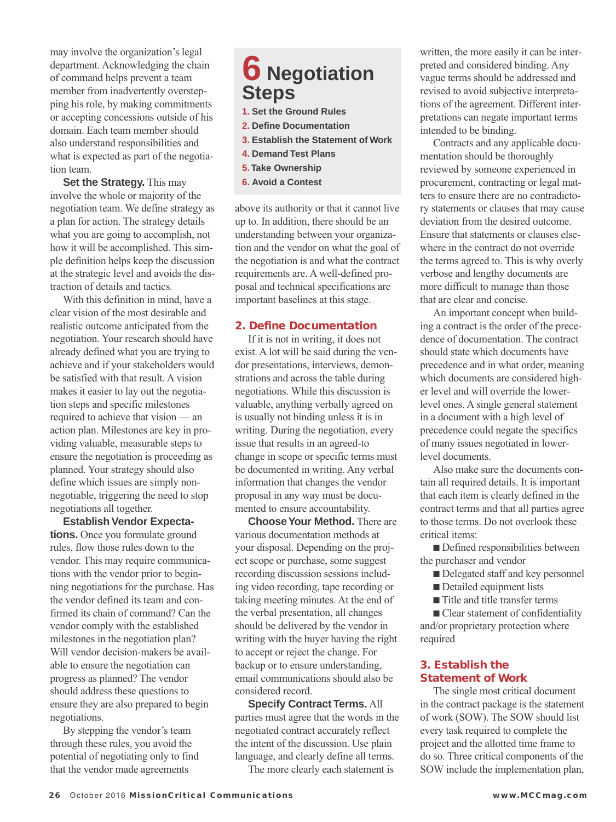may involve the organization's legal department. Acknowledging the chain of command helps prevent a team member from inadvertently overstepping his role, by making commitments or accepting concessions outside of his domain. Each team member should also understand responsibilities and what is expected as part of the negotiation team.

 **Set the Strategy.** This may involve the whole or majority of the negotiation team. We define strategy as a plan for action. The strategy details what you are going to accomplish, not how it will be accomplished. This simple definition helps keep the discussion at the strategic level and avoids the distraction of details and tactics.

 With this definition in mind, have a clear vision of the most desirable and realistic outcome anticipated from the negotiation. Your research should have already defined what you are trying to achieve and if your stakeholders would be satisfied with that result. A vision makes it easier to lay out the negotiation steps and specific milestones required to achieve that vision — an action plan. Milestones are key in providing valuable, measurable steps to ensure the negotiation is proceeding as planned. Your strategy should also define which issues are simply nonnegotiable, triggering the need to stop negotiations all together.

 **Establish Vendor Expectations.** Once you formulate ground rules, flow those rules down to the vendor. This may require communications with the vendor prior to beginning negotiations for the purchase. Has the vendor defined its team and confirmed its chain of command? Can the vendor comply with the established milestones in the negotiation plan? Will vendor decision-makers be available to ensure the negotiation can progress as planned? The vendor should address these questions to ensure they are also prepared to begin negotiations.

 By stepping the vendor's team through these rules, you avoid the potential of negotiating only to find that the vendor made agreements

### **6 Negotiation Steps**

- **1. Set the Ground Rules**
- **2. Define Documentation**
- **3. Establish the Statement of Work**
- **4. Demand Test Plans**
- **5. Take Ownership**
- **6. Avoid a Contest**

above its authority or that it cannot live up to. In addition, there should be an understanding between your organization and the vendor on what the goal of the negotiation is and what the contract requirements are. A well-defined proposal and technical specifications are important baselines at this stage.

#### **2. Define Documentation**

 If it is not in writing, it does not exist. A lot will be said during the vendor presentations, interviews, demonstrations and across the table during negotiations. While this discussion is valuable, anything verbally agreed on is usually not binding unless it is in writing. During the negotiation, every issue that results in an agreed-to change in scope or specific terms must be documented in writing. Any verbal information that changes the vendor proposal in any way must be documented to ensure accountability.

 **Choose Your Method.** There are various documentation methods at your disposal. Depending on the project scope or purchase, some suggest recording discussion sessions including video recording, tape recording or taking meeting minutes. At the end of the verbal presentation, all changes should be delivered by the vendor in writing with the buyer having the right to accept or reject the change. For backup or to ensure understanding, email communications should also be considered record.

 **Specify Contract Terms.** All parties must agree that the words in the negotiated contract accurately reflect the intent of the discussion. Use plain language, and clearly define all terms.

The more clearly each statement is

written, the more easily it can be interpreted and considered binding. Any vague terms should be addressed and revised to avoid subjective interpretations of the agreement. Different interpretations can negate important terms intended to be binding.

 Contracts and any applicable documentation should be thoroughly reviewed by someone experienced in procurement, contracting or legal matters to ensure there are no contradictory statements or clauses that may cause deviation from the desired outcome. Ensure that statements or clauses elsewhere in the contract do not override the terms agreed to. This is why overly verbose and lengthy documents are more difficult to manage than those that are clear and concise.

 An important concept when building a contract is the order of the precedence of documentation. The contract should state which documents have precedence and in what order, meaning which documents are considered higher level and will override the lowerlevel ones. A single general statement in a document with a high level of precedence could negate the specifics of many issues negotiated in lowerlevel documents.

 Also make sure the documents contain all required details. It is important that each item is clearly defined in the contract terms and that all parties agree to those terms. Do not overlook these critical items:

 $\blacksquare$  Defined responsibilities between the purchaser and vendor

- Delegated staff and key personnel
- Detailed equipment lists
- $\blacksquare$  Title and title transfer terms
- Clear statement of confidentiality

and/or proprietary protection where required

#### **3. Establish the Statement of Work**

 The single most critical document in the contract package is the statement of work (SOW). The SOW should list every task required to complete the project and the allotted time frame to do so. Three critical components of the SOW include the implementation plan,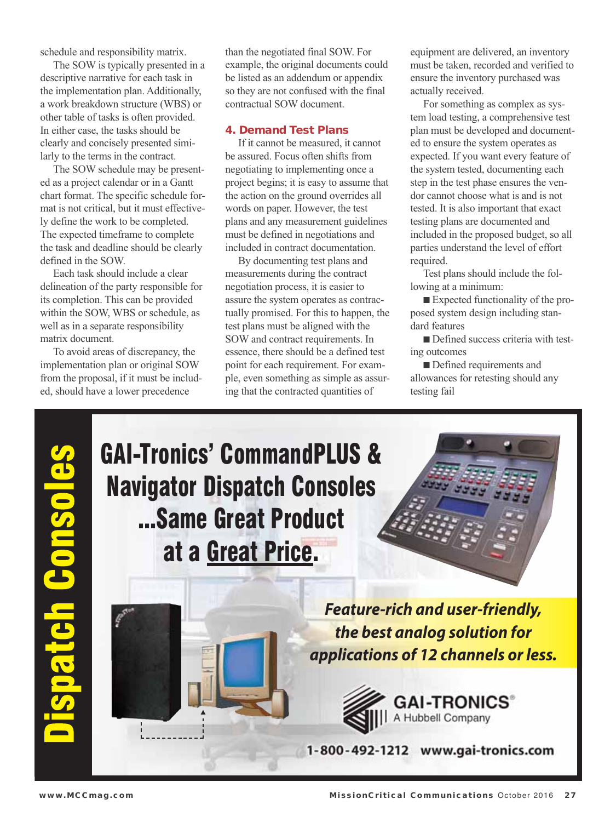schedule and responsibility matrix.

 The SOW is typically presented in a descriptive narrative for each task in the implementation plan. Additionally, a work breakdown structure (WBS) or other table of tasks is often provided. In either case, the tasks should be clearly and concisely presented similarly to the terms in the contract.

 The SOW schedule may be presented as a project calendar or in a Gantt chart format. The specific schedule format is not critical, but it must effectively define the work to be completed. The expected timeframe to complete the task and deadline should be clearly defined in the SOW.

 Each task should include a clear delineation of the party responsible for its completion. This can be provided within the SOW, WBS or schedule, as well as in a separate responsibility matrix document.

 To avoid areas of discrepancy, the implementation plan or original SOW from the proposal, if it must be included, should have a lower precedence

than the negotiated final SOW. For example, the original documents could be listed as an addendum or appendix so they are not confused with the final contractual SOW document.

#### **4. Demand Test Plans**

 If it cannot be measured, it cannot be assured. Focus often shifts from negotiating to implementing once a project begins; it is easy to assume that the action on the ground overrides all words on paper. However, the test plans and any measurement guidelines must be defined in negotiations and included in contract documentation.

 By documenting test plans and measurements during the contract negotiation process, it is easier to assure the system operates as contractually promised. For this to happen, the test plans must be aligned with the SOW and contract requirements. In essence, there should be a defined test point for each requirement. For example, even something as simple as assuring that the contracted quantities of

equipment are delivered, an inventory must be taken, recorded and verified to ensure the inventory purchased was actually received.

 For something as complex as system load testing, a comprehensive test plan must be developed and documented to ensure the system operates as expected. If you want every feature of the system tested, documenting each step in the test phase ensures the vendor cannot choose what is and is not tested. It is also important that exact testing plans are documented and included in the proposed budget, so all parties understand the level of effort required.

 Test plans should include the following at a minimum:

 $\blacksquare$  Expected functionality of the proposed system design including standard features

Defined success criteria with testing outcomes

■ Defined requirements and allowances for retesting should any testing fail

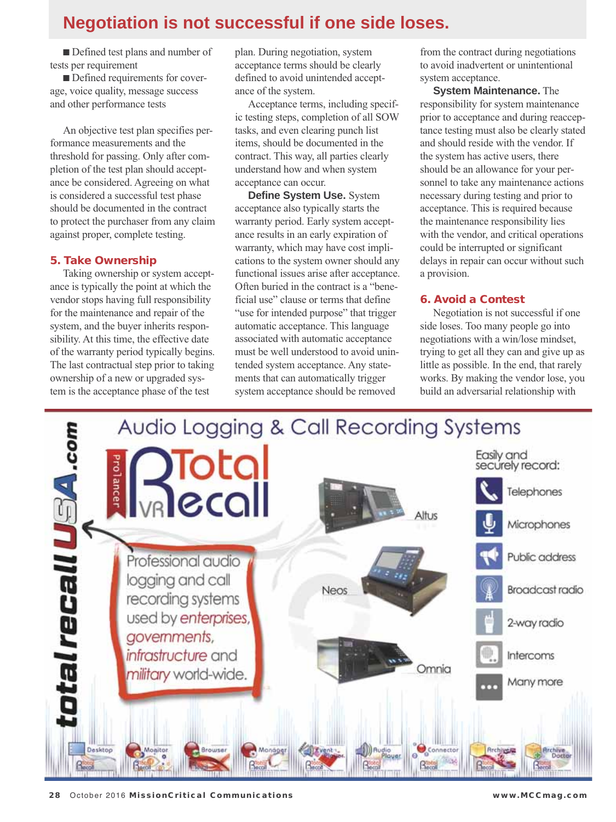### **Negotiation is not successful if one side loses.**

Defined test plans and number of tests per requirement

■ Defined requirements for coverage, voice quality, message success and other performance tests

 An objective test plan specifies performance measurements and the threshold for passing. Only after completion of the test plan should acceptance be considered. Agreeing on what is considered a successful test phase should be documented in the contract to protect the purchaser from any claim against proper, complete testing.

#### **5. Take Ownership**

Taking ownership or system acceptance is typically the point at which the vendor stops having full responsibility for the maintenance and repair of the system, and the buyer inherits responsibility. At this time, the effective date of the warranty period typically begins. The last contractual step prior to taking ownership of a new or upgraded system is the acceptance phase of the test

plan. During negotiation, system acceptance terms should be clearly defined to avoid unintended acceptance of the system.

 Acceptance terms, including specific testing steps, completion of all SOW tasks, and even clearing punch list items, should be documented in the contract. This way, all parties clearly understand how and when system acceptance can occur.

 **Define System Use.** System acceptance also typically starts the warranty period. Early system acceptance results in an early expiration of warranty, which may have cost implications to the system owner should any functional issues arise after acceptance. Often buried in the contract is a "beneficial use" clause or terms that define "use for intended purpose" that trigger automatic acceptance. This language associated with automatic acceptance must be well understood to avoid unintended system acceptance. Any statements that can automatically trigger system acceptance should be removed

from the contract during negotiations to avoid inadvertent or unintentional system acceptance.

 **System Maintenance.** The responsibility for system maintenance prior to acceptance and during reacceptance testing must also be clearly stated and should reside with the vendor. If the system has active users, there should be an allowance for your personnel to take any maintenance actions necessary during testing and prior to acceptance. This is required because the maintenance responsibility lies with the vendor, and critical operations could be interrupted or significant delays in repair can occur without such a provision.

#### **6. Avoid a Contest**

 Negotiation is not successful if one side loses. Too many people go into negotiations with a win/lose mindset, trying to get all they can and give up as little as possible. In the end, that rarely works. By making the vendor lose, you build an adversarial relationship with